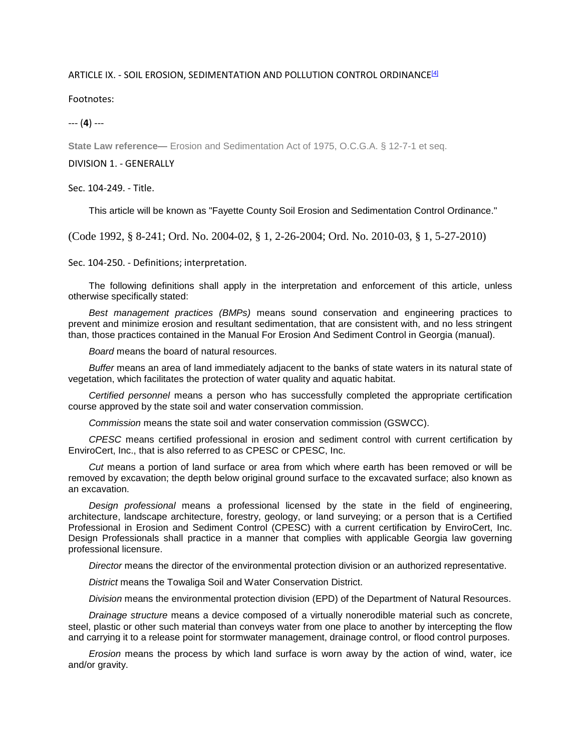## ARTICLE IX. - SOIL EROSION, SEDIMENTATION AND POLLUTION CONTROL ORDINANCE[4]

Footnotes:

--- (**4**) ---

**State Law reference—** Erosion and Sedimentation Act of 1975, O.C.G.A. § 12-7-1 et seq.

## DIVISION 1. - GENERALLY

Sec. 104-249. - Title.

This article will be known as "Fayette County Soil Erosion and Sedimentation Control Ordinance."

(Code 1992, § 8-241; Ord. No. 2004-02, § 1, 2-26-2004; Ord. No. 2010-03, § 1, 5-27-2010)

Sec. 104-250. - Definitions; interpretation.

The following definitions shall apply in the interpretation and enforcement of this article, unless otherwise specifically stated:

*Best management practices (BMPs)* means sound conservation and engineering practices to prevent and minimize erosion and resultant sedimentation, that are consistent with, and no less stringent than, those practices contained in the Manual For Erosion And Sediment Control in Georgia (manual).

*Board* means the board of natural resources.

*Buffer* means an area of land immediately adjacent to the banks of state waters in its natural state of vegetation, which facilitates the protection of water quality and aquatic habitat.

*Certified personnel* means a person who has successfully completed the appropriate certification course approved by the state soil and water conservation commission.

*Commission* means the state soil and water conservation commission (GSWCC).

*CPESC* means certified professional in erosion and sediment control with current certification by EnviroCert, Inc., that is also referred to as CPESC or CPESC, Inc.

*Cut* means a portion of land surface or area from which where earth has been removed or will be removed by excavation; the depth below original ground surface to the excavated surface; also known as an excavation.

*Design professional* means a professional licensed by the state in the field of engineering, architecture, landscape architecture, forestry, geology, or land surveying; or a person that is a Certified Professional in Erosion and Sediment Control (CPESC) with a current certification by EnviroCert, Inc. Design Professionals shall practice in a manner that complies with applicable Georgia law governing professional licensure.

*Director* means the director of the environmental protection division or an authorized representative.

*District* means the Towaliga Soil and Water Conservation District.

*Division* means the environmental protection division (EPD) of the Department of Natural Resources.

*Drainage structure* means a device composed of a virtually nonerodible material such as concrete, steel, plastic or other such material than conveys water from one place to another by intercepting the flow and carrying it to a release point for stormwater management, drainage control, or flood control purposes.

*Erosion* means the process by which land surface is worn away by the action of wind, water, ice and/or gravity.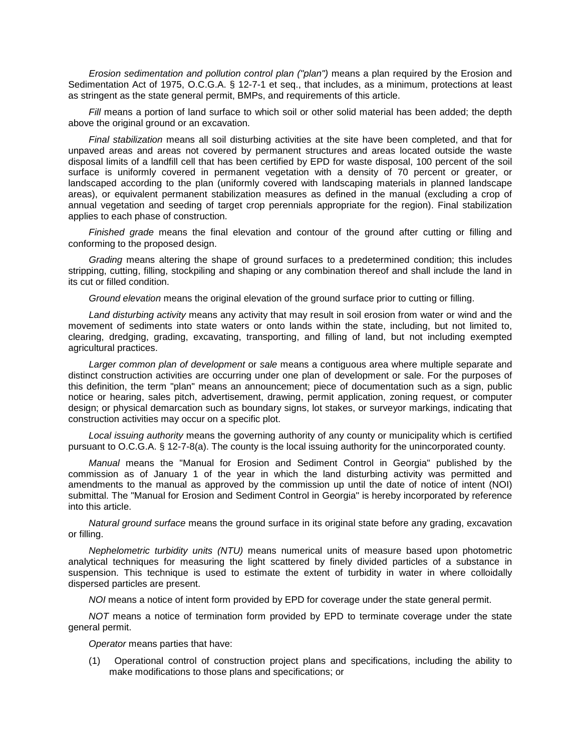*Erosion sedimentation and pollution control plan ("plan")* means a plan required by the Erosion and Sedimentation Act of 1975, O.C.G.A. § 12-7-1 et seq., that includes, as a minimum, protections at least as stringent as the state general permit, BMPs, and requirements of this article.

*Fill* means a portion of land surface to which soil or other solid material has been added; the depth above the original ground or an excavation.

*Final stabilization* means all soil disturbing activities at the site have been completed, and that for unpaved areas and areas not covered by permanent structures and areas located outside the waste disposal limits of a landfill cell that has been certified by EPD for waste disposal, 100 percent of the soil surface is uniformly covered in permanent vegetation with a density of 70 percent or greater, or landscaped according to the plan (uniformly covered with landscaping materials in planned landscape areas), or equivalent permanent stabilization measures as defined in the manual (excluding a crop of annual vegetation and seeding of target crop perennials appropriate for the region). Final stabilization applies to each phase of construction.

*Finished grade* means the final elevation and contour of the ground after cutting or filling and conforming to the proposed design.

*Grading* means altering the shape of ground surfaces to a predetermined condition; this includes stripping, cutting, filling, stockpiling and shaping or any combination thereof and shall include the land in its cut or filled condition.

*Ground elevation* means the original elevation of the ground surface prior to cutting or filling.

*Land disturbing activity* means any activity that may result in soil erosion from water or wind and the movement of sediments into state waters or onto lands within the state, including, but not limited to, clearing, dredging, grading, excavating, transporting, and filling of land, but not including exempted agricultural practices.

*Larger common plan of development* or *sale* means a contiguous area where multiple separate and distinct construction activities are occurring under one plan of development or sale. For the purposes of this definition, the term "plan" means an announcement; piece of documentation such as a sign, public notice or hearing, sales pitch, advertisement, drawing, permit application, zoning request, or computer design; or physical demarcation such as boundary signs, lot stakes, or surveyor markings, indicating that construction activities may occur on a specific plot.

*Local issuing authority* means the governing authority of any county or municipality which is certified pursuant to O.C.G.A. § 12-7-8(a). The county is the local issuing authority for the unincorporated county.

*Manual* means the "Manual for Erosion and Sediment Control in Georgia" published by the commission as of January 1 of the year in which the land disturbing activity was permitted and amendments to the manual as approved by the commission up until the date of notice of intent (NOI) submittal. The "Manual for Erosion and Sediment Control in Georgia" is hereby incorporated by reference into this article.

*Natural ground surface* means the ground surface in its original state before any grading, excavation or filling.

*Nephelometric turbidity units (NTU)* means numerical units of measure based upon photometric analytical techniques for measuring the light scattered by finely divided particles of a substance in suspension. This technique is used to estimate the extent of turbidity in water in where colloidally dispersed particles are present.

*NOI* means a notice of intent form provided by EPD for coverage under the state general permit.

*NOT* means a notice of termination form provided by EPD to terminate coverage under the state general permit.

*Operator* means parties that have:

(1) Operational control of construction project plans and specifications, including the ability to make modifications to those plans and specifications; or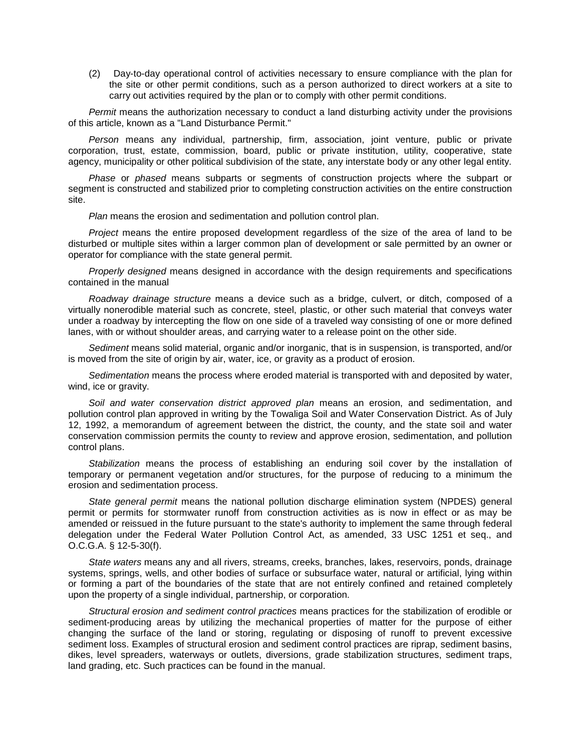(2) Day-to-day operational control of activities necessary to ensure compliance with the plan for the site or other permit conditions, such as a person authorized to direct workers at a site to carry out activities required by the plan or to comply with other permit conditions.

*Permit* means the authorization necessary to conduct a land disturbing activity under the provisions of this article, known as a "Land Disturbance Permit."

*Person* means any individual, partnership, firm, association, joint venture, public or private corporation, trust, estate, commission, board, public or private institution, utility, cooperative, state agency, municipality or other political subdivision of the state, any interstate body or any other legal entity.

*Phase* or *phased* means subparts or segments of construction projects where the subpart or segment is constructed and stabilized prior to completing construction activities on the entire construction site.

*Plan* means the erosion and sedimentation and pollution control plan.

*Project* means the entire proposed development regardless of the size of the area of land to be disturbed or multiple sites within a larger common plan of development or sale permitted by an owner or operator for compliance with the state general permit.

*Properly designed* means designed in accordance with the design requirements and specifications contained in the manual

*Roadway drainage structure* means a device such as a bridge, culvert, or ditch, composed of a virtually nonerodible material such as concrete, steel, plastic, or other such material that conveys water under a roadway by intercepting the flow on one side of a traveled way consisting of one or more defined lanes, with or without shoulder areas, and carrying water to a release point on the other side.

*Sediment* means solid material, organic and/or inorganic, that is in suspension, is transported, and/or is moved from the site of origin by air, water, ice, or gravity as a product of erosion.

*Sedimentation* means the process where eroded material is transported with and deposited by water, wind, ice or gravity.

*Soil and water conservation district approved plan* means an erosion, and sedimentation, and pollution control plan approved in writing by the Towaliga Soil and Water Conservation District. As of July 12, 1992, a memorandum of agreement between the district, the county, and the state soil and water conservation commission permits the county to review and approve erosion, sedimentation, and pollution control plans.

*Stabilization* means the process of establishing an enduring soil cover by the installation of temporary or permanent vegetation and/or structures, for the purpose of reducing to a minimum the erosion and sedimentation process.

*State general permit* means the national pollution discharge elimination system (NPDES) general permit or permits for stormwater runoff from construction activities as is now in effect or as may be amended or reissued in the future pursuant to the state's authority to implement the same through federal delegation under the Federal Water Pollution Control Act, as amended, 33 USC 1251 et seq., and O.C.G.A. § 12-5-30(f).

*State waters* means any and all rivers, streams, creeks, branches, lakes, reservoirs, ponds, drainage systems, springs, wells, and other bodies of surface or subsurface water, natural or artificial, lying within or forming a part of the boundaries of the state that are not entirely confined and retained completely upon the property of a single individual, partnership, or corporation.

*Structural erosion and sediment control practices* means practices for the stabilization of erodible or sediment-producing areas by utilizing the mechanical properties of matter for the purpose of either changing the surface of the land or storing, regulating or disposing of runoff to prevent excessive sediment loss. Examples of structural erosion and sediment control practices are riprap, sediment basins, dikes, level spreaders, waterways or outlets, diversions, grade stabilization structures, sediment traps, land grading, etc. Such practices can be found in the manual.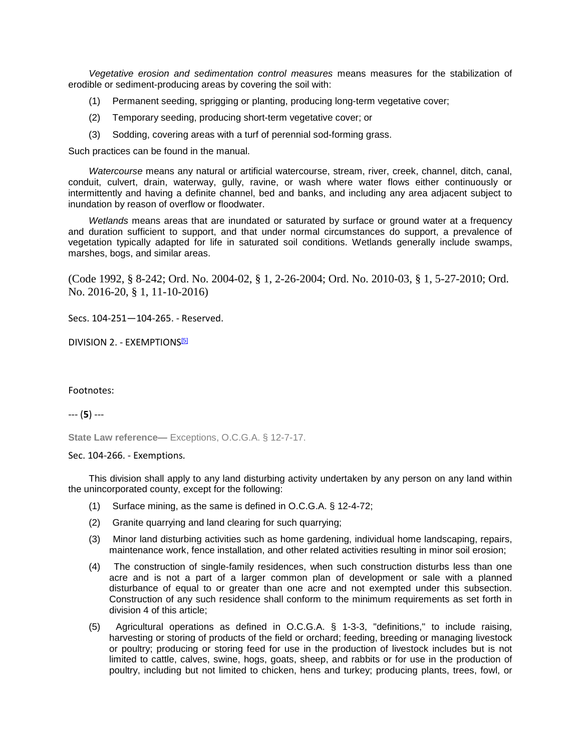*Vegetative erosion and sedimentation control measures* means measures for the stabilization of erodible or sediment-producing areas by covering the soil with:

- (1) Permanent seeding, sprigging or planting, producing long-term vegetative cover;
- (2) Temporary seeding, producing short-term vegetative cover; or
- (3) Sodding, covering areas with a turf of perennial sod-forming grass.

Such practices can be found in the manual.

*Watercourse* means any natural or artificial watercourse, stream, river, creek, channel, ditch, canal, conduit, culvert, drain, waterway, gully, ravine, or wash where water flows either continuously or intermittently and having a definite channel, bed and banks, and including any area adjacent subject to inundation by reason of overflow or floodwater.

*Wetlands* means areas that are inundated or saturated by surface or ground water at a frequency and duration sufficient to support, and that under normal circumstances do support, a prevalence of vegetation typically adapted for life in saturated soil conditions. Wetlands generally include swamps, marshes, bogs, and similar areas.

(Code 1992, § 8-242; Ord. No. 2004-02, § 1, 2-26-2004; Ord. No. 2010-03, § 1, 5-27-2010; Ord. No. 2016-20, § 1, 11-10-2016)

Secs. 104-251—104-265. - Reserved.

DIVISION 2. - EXEMPTIONS<sup>[5]</sup>

#### Footnotes:

--- (**5**) ---

**State Law reference—** Exceptions, O.C.G.A. § 12-7-17.

Sec. 104-266. - Exemptions.

This division shall apply to any land disturbing activity undertaken by any person on any land within the unincorporated county, except for the following:

- (1) Surface mining, as the same is defined in O.C.G.A. § 12-4-72;
- (2) Granite quarrying and land clearing for such quarrying;
- (3) Minor land disturbing activities such as home gardening, individual home landscaping, repairs, maintenance work, fence installation, and other related activities resulting in minor soil erosion;
- (4) The construction of single-family residences, when such construction disturbs less than one acre and is not a part of a larger common plan of development or sale with a planned disturbance of equal to or greater than one acre and not exempted under this subsection. Construction of any such residence shall conform to the minimum requirements as set forth in division 4 of this article;
- (5) Agricultural operations as defined in O.C.G.A. § 1-3-3, "definitions," to include raising, harvesting or storing of products of the field or orchard; feeding, breeding or managing livestock or poultry; producing or storing feed for use in the production of livestock includes but is not limited to cattle, calves, swine, hogs, goats, sheep, and rabbits or for use in the production of poultry, including but not limited to chicken, hens and turkey; producing plants, trees, fowl, or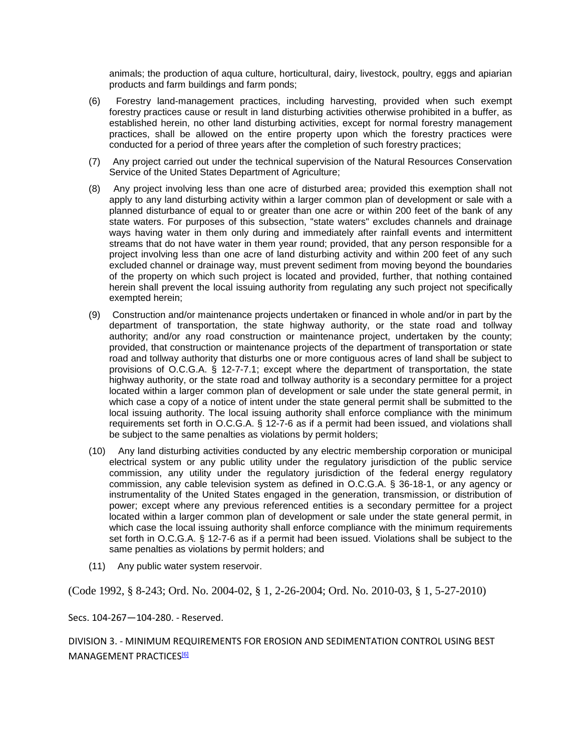animals; the production of aqua culture, horticultural, dairy, livestock, poultry, eggs and apiarian products and farm buildings and farm ponds;

- (6) Forestry land-management practices, including harvesting, provided when such exempt forestry practices cause or result in land disturbing activities otherwise prohibited in a buffer, as established herein, no other land disturbing activities, except for normal forestry management practices, shall be allowed on the entire property upon which the forestry practices were conducted for a period of three years after the completion of such forestry practices;
- (7) Any project carried out under the technical supervision of the Natural Resources Conservation Service of the United States Department of Agriculture;
- (8) Any project involving less than one acre of disturbed area; provided this exemption shall not apply to any land disturbing activity within a larger common plan of development or sale with a planned disturbance of equal to or greater than one acre or within 200 feet of the bank of any state waters. For purposes of this subsection, "state waters" excludes channels and drainage ways having water in them only during and immediately after rainfall events and intermittent streams that do not have water in them year round; provided, that any person responsible for a project involving less than one acre of land disturbing activity and within 200 feet of any such excluded channel or drainage way, must prevent sediment from moving beyond the boundaries of the property on which such project is located and provided, further, that nothing contained herein shall prevent the local issuing authority from regulating any such project not specifically exempted herein;
- (9) Construction and/or maintenance projects undertaken or financed in whole and/or in part by the department of transportation, the state highway authority, or the state road and tollway authority; and/or any road construction or maintenance project, undertaken by the county; provided, that construction or maintenance projects of the department of transportation or state road and tollway authority that disturbs one or more contiguous acres of land shall be subject to provisions of O.C.G.A. § 12-7-7.1; except where the department of transportation, the state highway authority, or the state road and tollway authority is a secondary permittee for a project located within a larger common plan of development or sale under the state general permit, in which case a copy of a notice of intent under the state general permit shall be submitted to the local issuing authority. The local issuing authority shall enforce compliance with the minimum requirements set forth in O.C.G.A. § 12-7-6 as if a permit had been issued, and violations shall be subject to the same penalties as violations by permit holders;
- (10) Any land disturbing activities conducted by any electric membership corporation or municipal electrical system or any public utility under the regulatory jurisdiction of the public service commission, any utility under the regulatory jurisdiction of the federal energy regulatory commission, any cable television system as defined in O.C.G.A. § 36-18-1, or any agency or instrumentality of the United States engaged in the generation, transmission, or distribution of power; except where any previous referenced entities is a secondary permittee for a project located within a larger common plan of development or sale under the state general permit, in which case the local issuing authority shall enforce compliance with the minimum requirements set forth in O.C.G.A. § 12-7-6 as if a permit had been issued. Violations shall be subject to the same penalties as violations by permit holders; and
- (11) Any public water system reservoir.

(Code 1992, § 8-243; Ord. No. 2004-02, § 1, 2-26-2004; Ord. No. 2010-03, § 1, 5-27-2010)

Secs. 104-267—104-280. - Reserved.

DIVISION 3. - MINIMUM REQUIREMENTS FOR EROSION AND SEDIMENTATION CONTROL USING BEST MANAGEMENT PRACTICES<sup>[6]</sup>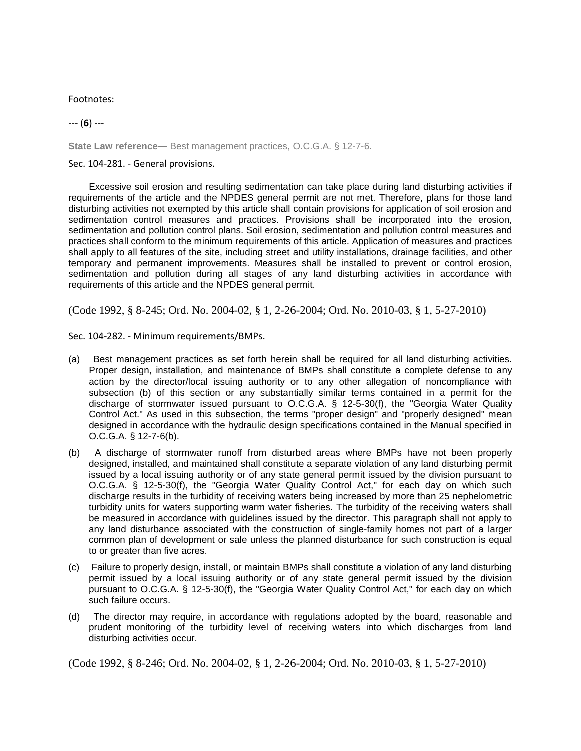Footnotes:

--- (**6**) ---

**State Law reference—** Best management practices, O.C.G.A. § 12-7-6.

Sec. 104-281. - General provisions.

Excessive soil erosion and resulting sedimentation can take place during land disturbing activities if requirements of the article and the NPDES general permit are not met. Therefore, plans for those land disturbing activities not exempted by this article shall contain provisions for application of soil erosion and sedimentation control measures and practices. Provisions shall be incorporated into the erosion, sedimentation and pollution control plans. Soil erosion, sedimentation and pollution control measures and practices shall conform to the minimum requirements of this article. Application of measures and practices shall apply to all features of the site, including street and utility installations, drainage facilities, and other temporary and permanent improvements. Measures shall be installed to prevent or control erosion, sedimentation and pollution during all stages of any land disturbing activities in accordance with requirements of this article and the NPDES general permit.

(Code 1992, § 8-245; Ord. No. 2004-02, § 1, 2-26-2004; Ord. No. 2010-03, § 1, 5-27-2010)

Sec. 104-282. - Minimum requirements/BMPs.

- (a) Best management practices as set forth herein shall be required for all land disturbing activities. Proper design, installation, and maintenance of BMPs shall constitute a complete defense to any action by the director/local issuing authority or to any other allegation of noncompliance with subsection (b) of this section or any substantially similar terms contained in a permit for the discharge of stormwater issued pursuant to O.C.G.A. § 12-5-30(f), the "Georgia Water Quality Control Act." As used in this subsection, the terms "proper design" and "properly designed" mean designed in accordance with the hydraulic design specifications contained in the Manual specified in O.C.G.A. § 12-7-6(b).
- (b) A discharge of stormwater runoff from disturbed areas where BMPs have not been properly designed, installed, and maintained shall constitute a separate violation of any land disturbing permit issued by a local issuing authority or of any state general permit issued by the division pursuant to O.C.G.A. § 12-5-30(f), the "Georgia Water Quality Control Act," for each day on which such discharge results in the turbidity of receiving waters being increased by more than 25 nephelometric turbidity units for waters supporting warm water fisheries. The turbidity of the receiving waters shall be measured in accordance with guidelines issued by the director. This paragraph shall not apply to any land disturbance associated with the construction of single-family homes not part of a larger common plan of development or sale unless the planned disturbance for such construction is equal to or greater than five acres.
- (c) Failure to properly design, install, or maintain BMPs shall constitute a violation of any land disturbing permit issued by a local issuing authority or of any state general permit issued by the division pursuant to O.C.G.A. § 12-5-30(f), the "Georgia Water Quality Control Act," for each day on which such failure occurs.
- (d) The director may require, in accordance with regulations adopted by the board, reasonable and prudent monitoring of the turbidity level of receiving waters into which discharges from land disturbing activities occur.

(Code 1992, § 8-246; Ord. No. 2004-02, § 1, 2-26-2004; Ord. No. 2010-03, § 1, 5-27-2010)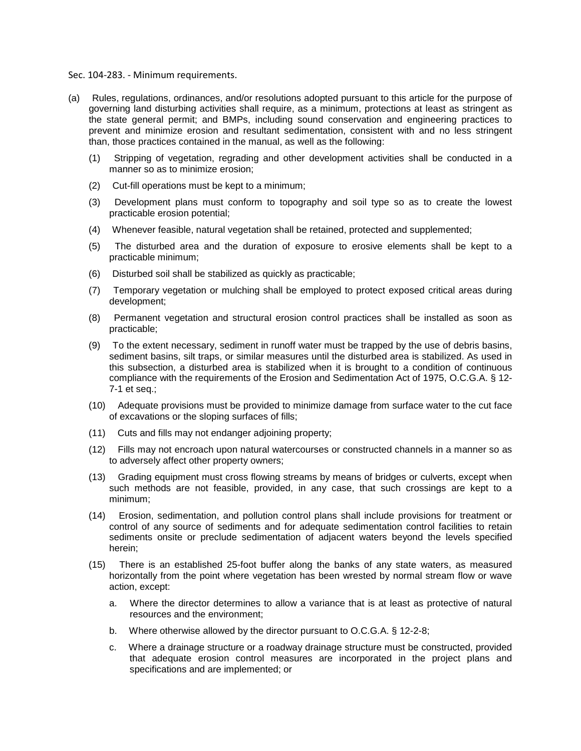Sec. 104-283. - Minimum requirements.

- (a) Rules, regulations, ordinances, and/or resolutions adopted pursuant to this article for the purpose of governing land disturbing activities shall require, as a minimum, protections at least as stringent as the state general permit; and BMPs, including sound conservation and engineering practices to prevent and minimize erosion and resultant sedimentation, consistent with and no less stringent than, those practices contained in the manual, as well as the following:
	- (1) Stripping of vegetation, regrading and other development activities shall be conducted in a manner so as to minimize erosion;
	- (2) Cut-fill operations must be kept to a minimum;
	- (3) Development plans must conform to topography and soil type so as to create the lowest practicable erosion potential;
	- (4) Whenever feasible, natural vegetation shall be retained, protected and supplemented;
	- (5) The disturbed area and the duration of exposure to erosive elements shall be kept to a practicable minimum;
	- (6) Disturbed soil shall be stabilized as quickly as practicable;
	- (7) Temporary vegetation or mulching shall be employed to protect exposed critical areas during development;
	- (8) Permanent vegetation and structural erosion control practices shall be installed as soon as practicable;
	- (9) To the extent necessary, sediment in runoff water must be trapped by the use of debris basins, sediment basins, silt traps, or similar measures until the disturbed area is stabilized. As used in this subsection, a disturbed area is stabilized when it is brought to a condition of continuous compliance with the requirements of the Erosion and Sedimentation Act of 1975, O.C.G.A. § 12- 7-1 et seq.;
	- (10) Adequate provisions must be provided to minimize damage from surface water to the cut face of excavations or the sloping surfaces of fills;
	- (11) Cuts and fills may not endanger adjoining property;
	- (12) Fills may not encroach upon natural watercourses or constructed channels in a manner so as to adversely affect other property owners;
	- (13) Grading equipment must cross flowing streams by means of bridges or culverts, except when such methods are not feasible, provided, in any case, that such crossings are kept to a minimum;
	- (14) Erosion, sedimentation, and pollution control plans shall include provisions for treatment or control of any source of sediments and for adequate sedimentation control facilities to retain sediments onsite or preclude sedimentation of adjacent waters beyond the levels specified herein;
	- (15) There is an established 25-foot buffer along the banks of any state waters, as measured horizontally from the point where vegetation has been wrested by normal stream flow or wave action, except:
		- a. Where the director determines to allow a variance that is at least as protective of natural resources and the environment;
		- b. Where otherwise allowed by the director pursuant to O.C.G.A. § 12-2-8;
		- c. Where a drainage structure or a roadway drainage structure must be constructed, provided that adequate erosion control measures are incorporated in the project plans and specifications and are implemented; or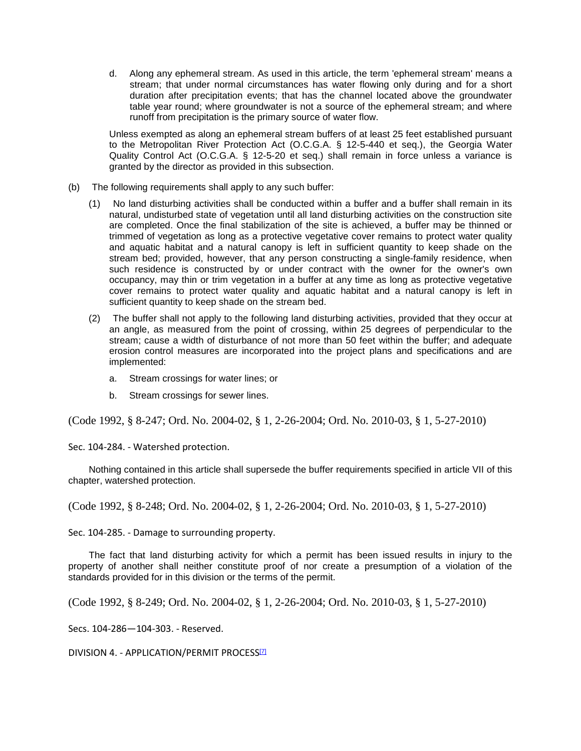d. Along any ephemeral stream. As used in this article, the term 'ephemeral stream' means a stream; that under normal circumstances has water flowing only during and for a short duration after precipitation events; that has the channel located above the groundwater table year round; where groundwater is not a source of the ephemeral stream; and where runoff from precipitation is the primary source of water flow.

Unless exempted as along an ephemeral stream buffers of at least 25 feet established pursuant to the Metropolitan River Protection Act (O.C.G.A. § 12-5-440 et seq.), the Georgia Water Quality Control Act (O.C.G.A. § 12-5-20 et seq.) shall remain in force unless a variance is granted by the director as provided in this subsection.

- (b) The following requirements shall apply to any such buffer:
	- (1) No land disturbing activities shall be conducted within a buffer and a buffer shall remain in its natural, undisturbed state of vegetation until all land disturbing activities on the construction site are completed. Once the final stabilization of the site is achieved, a buffer may be thinned or trimmed of vegetation as long as a protective vegetative cover remains to protect water quality and aquatic habitat and a natural canopy is left in sufficient quantity to keep shade on the stream bed; provided, however, that any person constructing a single-family residence, when such residence is constructed by or under contract with the owner for the owner's own occupancy, may thin or trim vegetation in a buffer at any time as long as protective vegetative cover remains to protect water quality and aquatic habitat and a natural canopy is left in sufficient quantity to keep shade on the stream bed.
	- (2) The buffer shall not apply to the following land disturbing activities, provided that they occur at an angle, as measured from the point of crossing, within 25 degrees of perpendicular to the stream; cause a width of disturbance of not more than 50 feet within the buffer; and adequate erosion control measures are incorporated into the project plans and specifications and are implemented:
		- a. Stream crossings for water lines; or
		- b. Stream crossings for sewer lines.

(Code 1992, § 8-247; Ord. No. 2004-02, § 1, 2-26-2004; Ord. No. 2010-03, § 1, 5-27-2010)

Sec. 104-284. - Watershed protection.

Nothing contained in this article shall supersede the buffer requirements specified in article VII of this chapter, watershed protection.

(Code 1992, § 8-248; Ord. No. 2004-02, § 1, 2-26-2004; Ord. No. 2010-03, § 1, 5-27-2010)

Sec. 104-285. - Damage to surrounding property.

The fact that land disturbing activity for which a permit has been issued results in injury to the property of another shall neither constitute proof of nor create a presumption of a violation of the standards provided for in this division or the terms of the permit.

(Code 1992, § 8-249; Ord. No. 2004-02, § 1, 2-26-2004; Ord. No. 2010-03, § 1, 5-27-2010)

Secs. 104-286—104-303. - Reserved.

DIVISION 4. - APPLICATION/PERMIT PROCESS<sup>[7]</sup>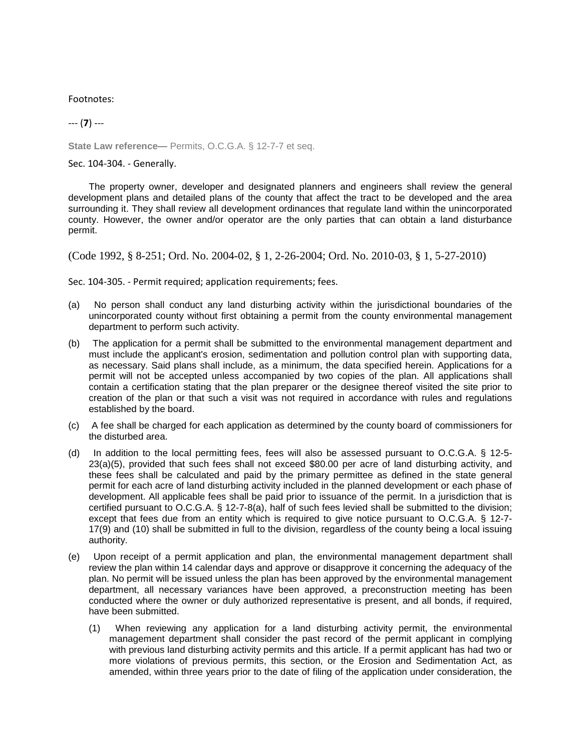Footnotes:

# --- (**7**) ---

**State Law reference—** Permits, O.C.G.A. § 12-7-7 et seq.

Sec. 104-304. - Generally.

The property owner, developer and designated planners and engineers shall review the general development plans and detailed plans of the county that affect the tract to be developed and the area surrounding it. They shall review all development ordinances that regulate land within the unincorporated county. However, the owner and/or operator are the only parties that can obtain a land disturbance permit.

(Code 1992, § 8-251; Ord. No. 2004-02, § 1, 2-26-2004; Ord. No. 2010-03, § 1, 5-27-2010)

Sec. 104-305. - Permit required; application requirements; fees.

- (a) No person shall conduct any land disturbing activity within the jurisdictional boundaries of the unincorporated county without first obtaining a permit from the county environmental management department to perform such activity.
- (b) The application for a permit shall be submitted to the environmental management department and must include the applicant's erosion, sedimentation and pollution control plan with supporting data, as necessary. Said plans shall include, as a minimum, the data specified herein. Applications for a permit will not be accepted unless accompanied by two copies of the plan. All applications shall contain a certification stating that the plan preparer or the designee thereof visited the site prior to creation of the plan or that such a visit was not required in accordance with rules and regulations established by the board.
- (c) A fee shall be charged for each application as determined by the county board of commissioners for the disturbed area.
- (d) In addition to the local permitting fees, fees will also be assessed pursuant to O.C.G.A. § 12-5- 23(a)(5), provided that such fees shall not exceed \$80.00 per acre of land disturbing activity, and these fees shall be calculated and paid by the primary permittee as defined in the state general permit for each acre of land disturbing activity included in the planned development or each phase of development. All applicable fees shall be paid prior to issuance of the permit. In a jurisdiction that is certified pursuant to O.C.G.A. § 12-7-8(a), half of such fees levied shall be submitted to the division; except that fees due from an entity which is required to give notice pursuant to O.C.G.A. § 12-7- 17(9) and (10) shall be submitted in full to the division, regardless of the county being a local issuing authority.
- (e) Upon receipt of a permit application and plan, the environmental management department shall review the plan within 14 calendar days and approve or disapprove it concerning the adequacy of the plan. No permit will be issued unless the plan has been approved by the environmental management department, all necessary variances have been approved, a preconstruction meeting has been conducted where the owner or duly authorized representative is present, and all bonds, if required, have been submitted.
	- (1) When reviewing any application for a land disturbing activity permit, the environmental management department shall consider the past record of the permit applicant in complying with previous land disturbing activity permits and this article. If a permit applicant has had two or more violations of previous permits, this section, or the Erosion and Sedimentation Act, as amended, within three years prior to the date of filing of the application under consideration, the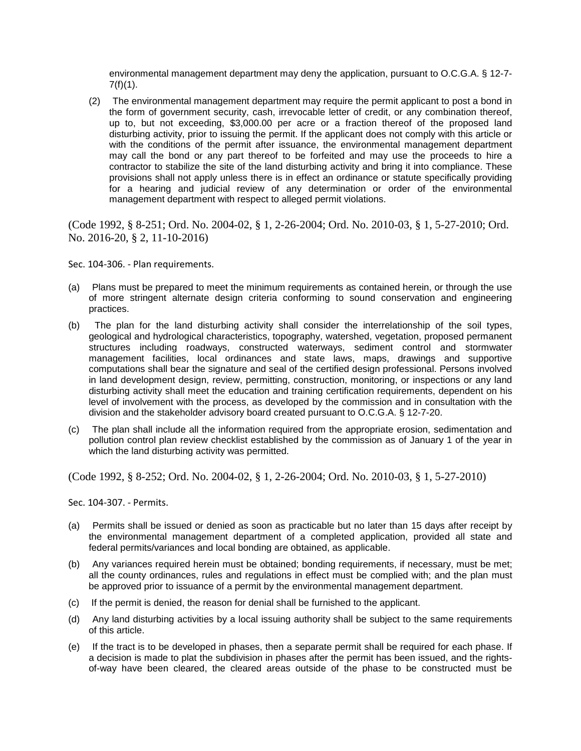environmental management department may deny the application, pursuant to O.C.G.A. § 12-7-  $7(f)(1)$ .

(2) The environmental management department may require the permit applicant to post a bond in the form of government security, cash, irrevocable letter of credit, or any combination thereof, up to, but not exceeding, \$3,000.00 per acre or a fraction thereof of the proposed land disturbing activity, prior to issuing the permit. If the applicant does not comply with this article or with the conditions of the permit after issuance, the environmental management department may call the bond or any part thereof to be forfeited and may use the proceeds to hire a contractor to stabilize the site of the land disturbing activity and bring it into compliance. These provisions shall not apply unless there is in effect an ordinance or statute specifically providing for a hearing and judicial review of any determination or order of the environmental management department with respect to alleged permit violations.

(Code 1992, § 8-251; Ord. No. 2004-02, § 1, 2-26-2004; Ord. No. 2010-03, § 1, 5-27-2010; Ord. No. 2016-20, § 2, 11-10-2016)

Sec. 104-306. - Plan requirements.

- (a) Plans must be prepared to meet the minimum requirements as contained herein, or through the use of more stringent alternate design criteria conforming to sound conservation and engineering practices.
- (b) The plan for the land disturbing activity shall consider the interrelationship of the soil types, geological and hydrological characteristics, topography, watershed, vegetation, proposed permanent structures including roadways, constructed waterways, sediment control and stormwater management facilities, local ordinances and state laws, maps, drawings and supportive computations shall bear the signature and seal of the certified design professional. Persons involved in land development design, review, permitting, construction, monitoring, or inspections or any land disturbing activity shall meet the education and training certification requirements, dependent on his level of involvement with the process, as developed by the commission and in consultation with the division and the stakeholder advisory board created pursuant to O.C.G.A. § 12-7-20.
- (c) The plan shall include all the information required from the appropriate erosion, sedimentation and pollution control plan review checklist established by the commission as of January 1 of the year in which the land disturbing activity was permitted.

(Code 1992, § 8-252; Ord. No. 2004-02, § 1, 2-26-2004; Ord. No. 2010-03, § 1, 5-27-2010)

Sec. 104-307. - Permits.

- (a) Permits shall be issued or denied as soon as practicable but no later than 15 days after receipt by the environmental management department of a completed application, provided all state and federal permits/variances and local bonding are obtained, as applicable.
- (b) Any variances required herein must be obtained; bonding requirements, if necessary, must be met; all the county ordinances, rules and regulations in effect must be complied with; and the plan must be approved prior to issuance of a permit by the environmental management department.
- (c) If the permit is denied, the reason for denial shall be furnished to the applicant.
- (d) Any land disturbing activities by a local issuing authority shall be subject to the same requirements of this article.
- (e) If the tract is to be developed in phases, then a separate permit shall be required for each phase. If a decision is made to plat the subdivision in phases after the permit has been issued, and the rightsof-way have been cleared, the cleared areas outside of the phase to be constructed must be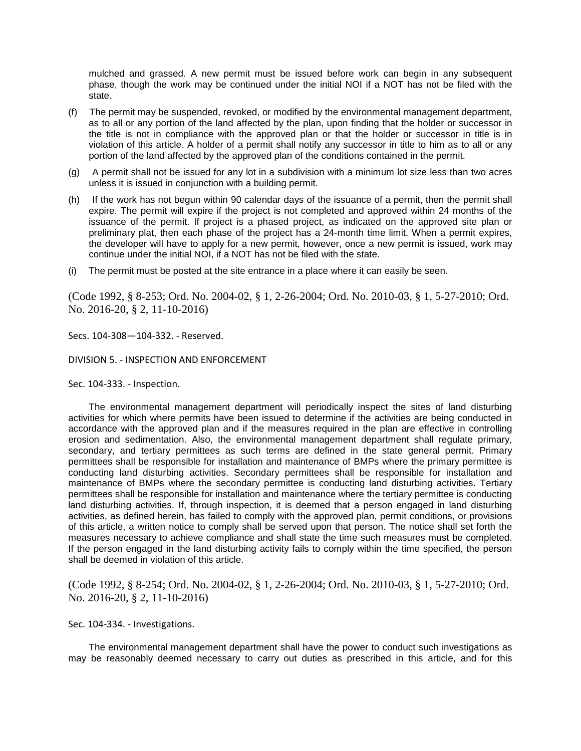mulched and grassed. A new permit must be issued before work can begin in any subsequent phase, though the work may be continued under the initial NOI if a NOT has not be filed with the state.

- (f) The permit may be suspended, revoked, or modified by the environmental management department, as to all or any portion of the land affected by the plan, upon finding that the holder or successor in the title is not in compliance with the approved plan or that the holder or successor in title is in violation of this article. A holder of a permit shall notify any successor in title to him as to all or any portion of the land affected by the approved plan of the conditions contained in the permit.
- (g) A permit shall not be issued for any lot in a subdivision with a minimum lot size less than two acres unless it is issued in conjunction with a building permit.
- (h) If the work has not begun within 90 calendar days of the issuance of a permit, then the permit shall expire. The permit will expire if the project is not completed and approved within 24 months of the issuance of the permit. If project is a phased project, as indicated on the approved site plan or preliminary plat, then each phase of the project has a 24-month time limit. When a permit expires, the developer will have to apply for a new permit, however, once a new permit is issued, work may continue under the initial NOI, if a NOT has not be filed with the state.
- (i) The permit must be posted at the site entrance in a place where it can easily be seen.

(Code 1992, § 8-253; Ord. No. 2004-02, § 1, 2-26-2004; Ord. No. 2010-03, § 1, 5-27-2010; Ord. No. 2016-20, § 2, 11-10-2016)

Secs. 104-308—104-332. - Reserved.

DIVISION 5. - INSPECTION AND ENFORCEMENT

Sec. 104-333. - Inspection.

The environmental management department will periodically inspect the sites of land disturbing activities for which where permits have been issued to determine if the activities are being conducted in accordance with the approved plan and if the measures required in the plan are effective in controlling erosion and sedimentation. Also, the environmental management department shall regulate primary, secondary, and tertiary permittees as such terms are defined in the state general permit. Primary permittees shall be responsible for installation and maintenance of BMPs where the primary permittee is conducting land disturbing activities. Secondary permittees shall be responsible for installation and maintenance of BMPs where the secondary permittee is conducting land disturbing activities. Tertiary permittees shall be responsible for installation and maintenance where the tertiary permittee is conducting land disturbing activities. If, through inspection, it is deemed that a person engaged in land disturbing activities, as defined herein, has failed to comply with the approved plan, permit conditions, or provisions of this article, a written notice to comply shall be served upon that person. The notice shall set forth the measures necessary to achieve compliance and shall state the time such measures must be completed. If the person engaged in the land disturbing activity fails to comply within the time specified, the person shall be deemed in violation of this article.

(Code 1992, § 8-254; Ord. No. 2004-02, § 1, 2-26-2004; Ord. No. 2010-03, § 1, 5-27-2010; Ord. No. 2016-20, § 2, 11-10-2016)

Sec. 104-334. - Investigations.

The environmental management department shall have the power to conduct such investigations as may be reasonably deemed necessary to carry out duties as prescribed in this article, and for this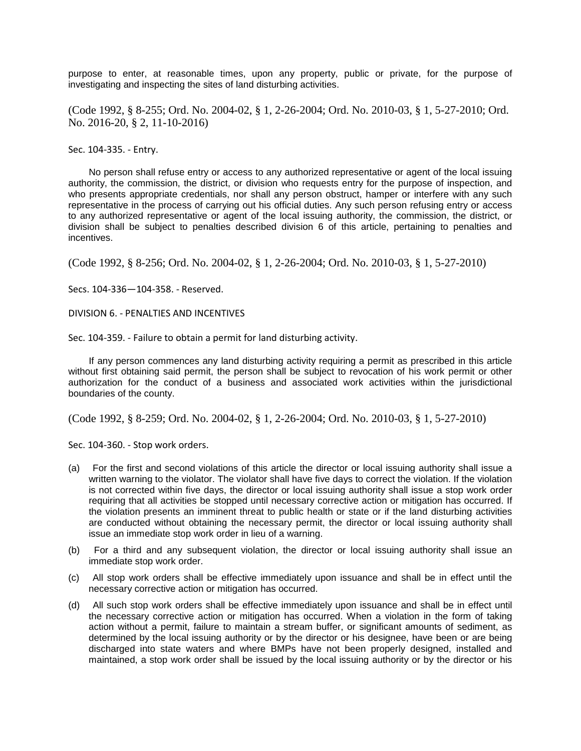purpose to enter, at reasonable times, upon any property, public or private, for the purpose of investigating and inspecting the sites of land disturbing activities.

(Code 1992, § 8-255; Ord. No. 2004-02, § 1, 2-26-2004; Ord. No. 2010-03, § 1, 5-27-2010; Ord. No. 2016-20, § 2, 11-10-2016)

Sec. 104-335. - Entry.

No person shall refuse entry or access to any authorized representative or agent of the local issuing authority, the commission, the district, or division who requests entry for the purpose of inspection, and who presents appropriate credentials, nor shall any person obstruct, hamper or interfere with any such representative in the process of carrying out his official duties. Any such person refusing entry or access to any authorized representative or agent of the local issuing authority, the commission, the district, or division shall be subject to penalties described division 6 of this article, pertaining to penalties and incentives.

(Code 1992, § 8-256; Ord. No. 2004-02, § 1, 2-26-2004; Ord. No. 2010-03, § 1, 5-27-2010)

Secs. 104-336—104-358. - Reserved.

DIVISION 6. - PENALTIES AND INCENTIVES

Sec. 104-359. - Failure to obtain a permit for land disturbing activity.

If any person commences any land disturbing activity requiring a permit as prescribed in this article without first obtaining said permit, the person shall be subject to revocation of his work permit or other authorization for the conduct of a business and associated work activities within the jurisdictional boundaries of the county.

(Code 1992, § 8-259; Ord. No. 2004-02, § 1, 2-26-2004; Ord. No. 2010-03, § 1, 5-27-2010)

Sec. 104-360. - Stop work orders.

- (a) For the first and second violations of this article the director or local issuing authority shall issue a written warning to the violator. The violator shall have five days to correct the violation. If the violation is not corrected within five days, the director or local issuing authority shall issue a stop work order requiring that all activities be stopped until necessary corrective action or mitigation has occurred. If the violation presents an imminent threat to public health or state or if the land disturbing activities are conducted without obtaining the necessary permit, the director or local issuing authority shall issue an immediate stop work order in lieu of a warning.
- (b) For a third and any subsequent violation, the director or local issuing authority shall issue an immediate stop work order.
- (c) All stop work orders shall be effective immediately upon issuance and shall be in effect until the necessary corrective action or mitigation has occurred.
- (d) All such stop work orders shall be effective immediately upon issuance and shall be in effect until the necessary corrective action or mitigation has occurred. When a violation in the form of taking action without a permit, failure to maintain a stream buffer, or significant amounts of sediment, as determined by the local issuing authority or by the director or his designee, have been or are being discharged into state waters and where BMPs have not been properly designed, installed and maintained, a stop work order shall be issued by the local issuing authority or by the director or his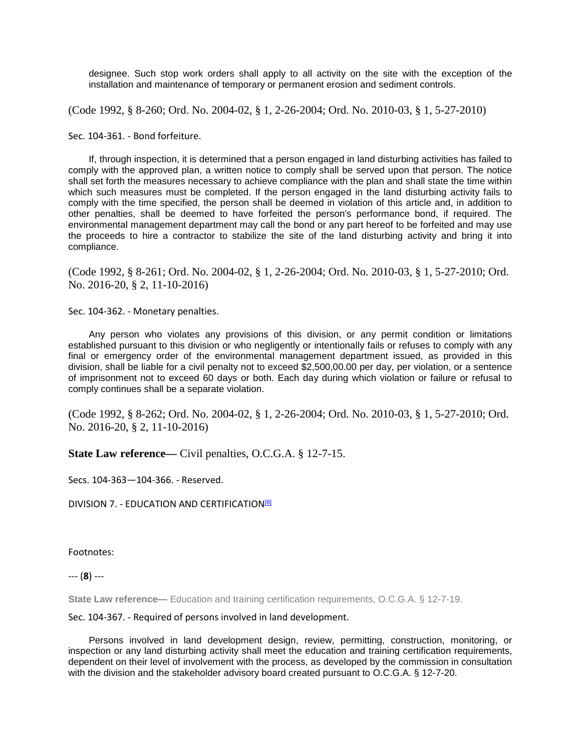designee. Such stop work orders shall apply to all activity on the site with the exception of the installation and maintenance of temporary or permanent erosion and sediment controls.

(Code 1992, § 8-260; Ord. No. 2004-02, § 1, 2-26-2004; Ord. No. 2010-03, § 1, 5-27-2010)

Sec. 104-361. - Bond forfeiture.

If, through inspection, it is determined that a person engaged in land disturbing activities has failed to comply with the approved plan, a written notice to comply shall be served upon that person. The notice shall set forth the measures necessary to achieve compliance with the plan and shall state the time within which such measures must be completed. If the person engaged in the land disturbing activity fails to comply with the time specified, the person shall be deemed in violation of this article and, in addition to other penalties, shall be deemed to have forfeited the person's performance bond, if required. The environmental management department may call the bond or any part hereof to be forfeited and may use the proceeds to hire a contractor to stabilize the site of the land disturbing activity and bring it into compliance.

(Code 1992, § 8-261; Ord. No. 2004-02, § 1, 2-26-2004; Ord. No. 2010-03, § 1, 5-27-2010; Ord. No. 2016-20, § 2, 11-10-2016)

Sec. 104-362. - Monetary penalties.

Any person who violates any provisions of this division, or any permit condition or limitations established pursuant to this division or who negligently or intentionally fails or refuses to comply with any final or emergency order of the environmental management department issued, as provided in this division, shall be liable for a civil penalty not to exceed \$2,500,00.00 per day, per violation, or a sentence of imprisonment not to exceed 60 days or both. Each day during which violation or failure or refusal to comply continues shall be a separate violation.

(Code 1992, § 8-262; Ord. No. 2004-02, § 1, 2-26-2004; Ord. No. 2010-03, § 1, 5-27-2010; Ord. No. 2016-20, § 2, 11-10-2016)

**State Law reference—** Civil penalties, O.C.G.A. § 12-7-15.

Secs. 104-363—104-366. - Reserved.

DIVISION 7. - EDUCATION AND CERTIFICATION<sup>[8]</sup>

Footnotes:

--- (**8**) ---

**State Law reference—** Education and training certification requirements, O.C.G.A. § 12-7-19.

Sec. 104-367. - Required of persons involved in land development.

Persons involved in land development design, review, permitting, construction, monitoring, or inspection or any land disturbing activity shall meet the education and training certification requirements, dependent on their level of involvement with the process, as developed by the commission in consultation with the division and the stakeholder advisory board created pursuant to O.C.G.A. § 12-7-20.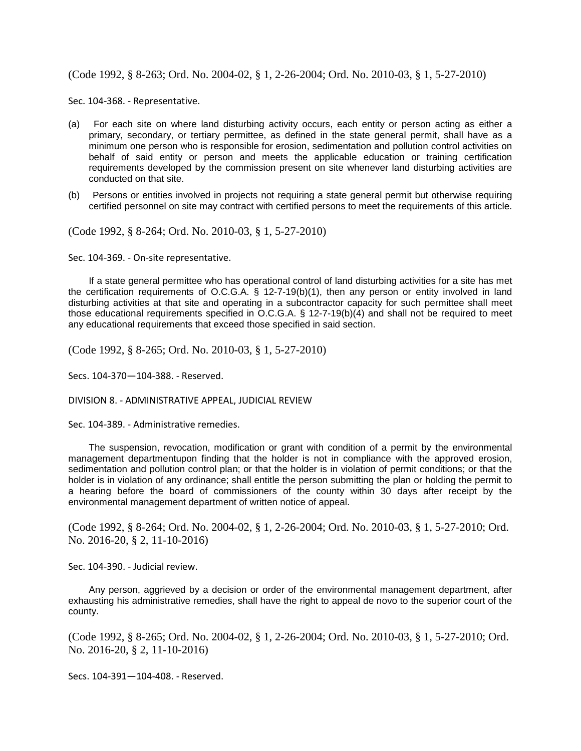(Code 1992, § 8-263; Ord. No. 2004-02, § 1, 2-26-2004; Ord. No. 2010-03, § 1, 5-27-2010)

Sec. 104-368. - Representative.

- (a) For each site on where land disturbing activity occurs, each entity or person acting as either a primary, secondary, or tertiary permittee, as defined in the state general permit, shall have as a minimum one person who is responsible for erosion, sedimentation and pollution control activities on behalf of said entity or person and meets the applicable education or training certification requirements developed by the commission present on site whenever land disturbing activities are conducted on that site.
- (b) Persons or entities involved in projects not requiring a state general permit but otherwise requiring certified personnel on site may contract with certified persons to meet the requirements of this article.

(Code 1992, § 8-264; Ord. No. 2010-03, § 1, 5-27-2010)

Sec. 104-369. - On-site representative.

If a state general permittee who has operational control of land disturbing activities for a site has met the certification requirements of O.C.G.A. § 12-7-19(b)(1), then any person or entity involved in land disturbing activities at that site and operating in a subcontractor capacity for such permittee shall meet those educational requirements specified in O.C.G.A. § 12-7-19(b)(4) and shall not be required to meet any educational requirements that exceed those specified in said section.

(Code 1992, § 8-265; Ord. No. 2010-03, § 1, 5-27-2010)

Secs. 104-370—104-388. - Reserved.

DIVISION 8. - ADMINISTRATIVE APPEAL, JUDICIAL REVIEW

Sec. 104-389. - Administrative remedies.

The suspension, revocation, modification or grant with condition of a permit by the environmental management departmentupon finding that the holder is not in compliance with the approved erosion, sedimentation and pollution control plan; or that the holder is in violation of permit conditions; or that the holder is in violation of any ordinance; shall entitle the person submitting the plan or holding the permit to a hearing before the board of commissioners of the county within 30 days after receipt by the environmental management department of written notice of appeal.

(Code 1992, § 8-264; Ord. No. 2004-02, § 1, 2-26-2004; Ord. No. 2010-03, § 1, 5-27-2010; Ord. No. 2016-20, § 2, 11-10-2016)

Sec. 104-390. - Judicial review.

Any person, aggrieved by a decision or order of the environmental management department, after exhausting his administrative remedies, shall have the right to appeal de novo to the superior court of the county.

(Code 1992, § 8-265; Ord. No. 2004-02, § 1, 2-26-2004; Ord. No. 2010-03, § 1, 5-27-2010; Ord. No. 2016-20, § 2, 11-10-2016)

Secs. 104-391—104-408. - Reserved.